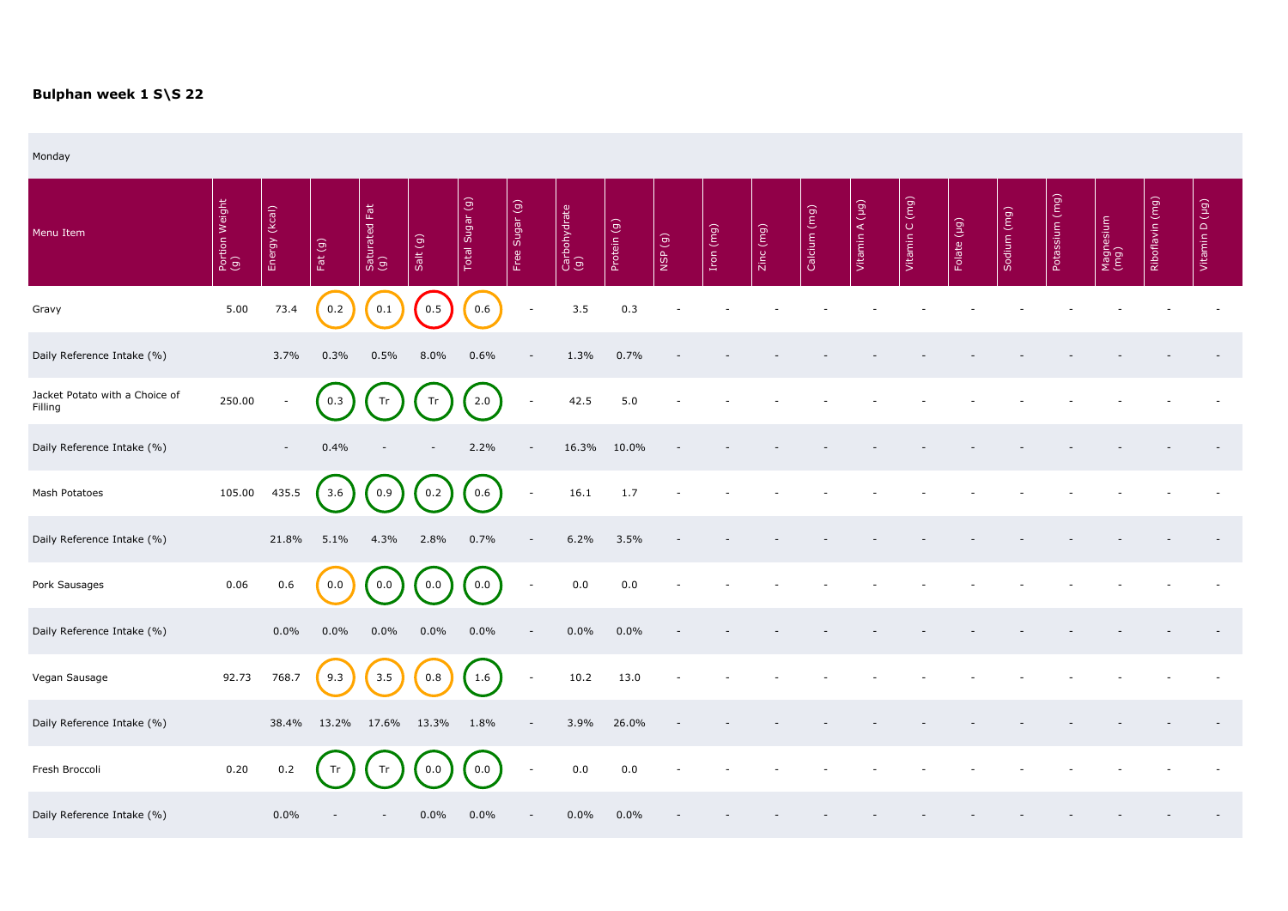## **Bulphan week 1 S\S 22**

Monday

| Menu Item                                 | Portion Weight<br>(g) | Energy (kcal)            | Fat(g)      | Fat<br>Saturated I<br>(g) | Salt (g) | Total Sugar (g) | Free Sugar (g)           | Carbohydrate<br>(g) | Protein (g) | NSP(g) | Iron (mg) | Zinc (mg) | Calcium (mg) | Vitamin A (µg) | Vitamin C (mg) | (pq)<br>Folate | Sodium (mg) | Potassium (mg) | Magnesium<br>(mg) | Riboflavin (mg) | $\boxed{(b\pi)}$<br>Vitamin D |
|-------------------------------------------|-----------------------|--------------------------|-------------|---------------------------|----------|-----------------|--------------------------|---------------------|-------------|--------|-----------|-----------|--------------|----------------|----------------|----------------|-------------|----------------|-------------------|-----------------|-------------------------------|
| Gravy                                     | 5.00                  | 73.4                     | 0.2         | 0.1                       | 0.5      | 0.6             | $\overline{\phantom{a}}$ | 3.5                 | 0.3         |        |           |           |              |                |                |                |             |                |                   |                 |                               |
| Daily Reference Intake (%)                |                       | 3.7%                     | 0.3%        | 0.5%                      | 8.0%     | 0.6%            | $\overline{\phantom{a}}$ | 1.3%                | 0.7%        |        |           |           |              |                |                |                |             |                |                   |                 |                               |
| Jacket Potato with a Choice of<br>Filling | 250.00                | $\overline{\phantom{a}}$ | 0.3         | Tr                        | Tr       | 2.0             | $\overline{\phantom{a}}$ | 42.5                | 5.0         |        |           |           |              |                |                |                |             |                |                   |                 |                               |
| Daily Reference Intake (%)                |                       | $\sim$                   | 0.4%        |                           |          | 2.2%            | $\overline{\phantom{a}}$ | 16.3%               | 10.0%       |        |           |           |              |                |                |                |             |                |                   |                 |                               |
| Mash Potatoes                             | 105.00                | 435.5                    | 3.6         | 0.9                       | 0.2      | 0.6             | $\overline{\phantom{a}}$ | 16.1                | 1.7         |        |           |           |              |                |                |                |             |                |                   |                 |                               |
| Daily Reference Intake (%)                |                       | 21.8%                    | 5.1%        | 4.3%                      | 2.8%     | 0.7%            |                          | 6.2%                | 3.5%        |        |           |           |              |                |                |                |             |                |                   |                 |                               |
| Pork Sausages                             | 0.06                  | 0.6                      | 0.0         | 0.0                       | 0.0      | 0.0             | $\overline{\phantom{a}}$ | 0.0                 | 0.0         |        |           |           |              |                |                |                |             |                |                   |                 |                               |
| Daily Reference Intake (%)                |                       | $0.0\%$                  | $0.0\%$     | $0.0\%$                   | $0.0\%$  | $0.0\%$         |                          | $0.0\%$             | 0.0%        |        |           |           |              |                |                |                |             |                |                   |                 |                               |
| Vegan Sausage                             | 92.73                 | 768.7                    | 9.3         | 3.5                       | 0.8      | 1.6             | $\sim$                   | 10.2                | 13.0        |        |           |           |              |                |                |                |             |                |                   |                 |                               |
| Daily Reference Intake (%)                |                       |                          | 38.4% 13.2% | 17.6% 13.3%               |          | 1.8%            | $\overline{\phantom{a}}$ | 3.9%                | 26.0%       |        |           |           |              |                |                |                |             |                |                   |                 |                               |
| Fresh Broccoli                            | 0.20                  | 0.2                      | Tr          |                           | 0.0      | 0.0             | $\overline{\phantom{a}}$ | 0.0                 | 0.0         |        |           |           |              |                |                |                |             |                |                   |                 |                               |
| Daily Reference Intake (%)                |                       | $0.0\%$                  |             | $\overline{\phantom{a}}$  | $0.0\%$  | $0.0\%$         | $\overline{\phantom{a}}$ | $0.0\%$             | $0.0\%$     |        |           |           |              |                |                |                |             |                |                   |                 |                               |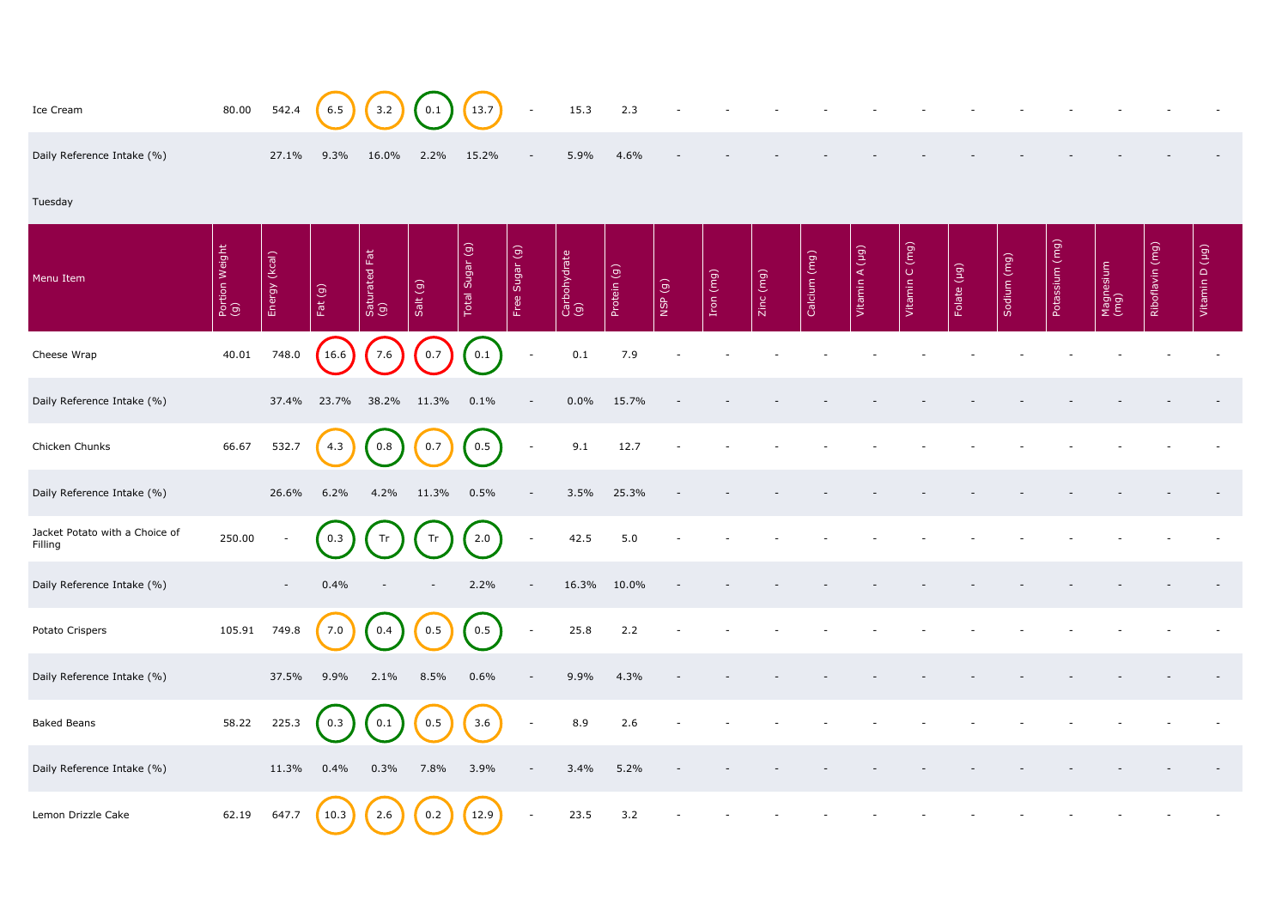| Ice Cream                                 | 80.00                 | 542.4            | 6.5       | 3.2                  | 0.1                      | 13.7            | $\sim$                   | 15.3                | 2.3         |        |           |           |              |                |                |             |             |                |                   |                 |                |
|-------------------------------------------|-----------------------|------------------|-----------|----------------------|--------------------------|-----------------|--------------------------|---------------------|-------------|--------|-----------|-----------|--------------|----------------|----------------|-------------|-------------|----------------|-------------------|-----------------|----------------|
| Daily Reference Intake (%)                |                       | 27.1%            | 9.3%      | 16.0%                | 2.2%                     | 15.2%           | $\overline{\phantom{a}}$ | 5.9%                | 4.6%        |        |           |           |              |                |                |             |             |                |                   |                 |                |
| Tuesday                                   |                       |                  |           |                      |                          |                 |                          |                     |             |        |           |           |              |                |                |             |             |                |                   |                 |                |
| Menu Item                                 | Portion Weight<br>(g) | (kcal)<br>Energy | Fat $(g)$ | Saturated Fat<br>(g) | Salt (g)                 | Total Sugar (g) | Free Sugar (g)           | Carbohydrate<br>(g) | Protein (g) | NSP(g) | Iron (mg) | Zinc (mg) | Calcium (mg) | Vitamin A (µg) | Vitamin C (mg) | Folate (µg) | Sodium (mg) | Potassium (mg) | Magnesium<br>(mg) | Riboflavin (mg) | Vitamin D (µg) |
| Cheese Wrap                               | 40.01                 | 748.0            | 16.6      | 7.6                  | 0.7                      | 0.1             | $\sim$                   | 0.1                 | 7.9         |        |           |           |              |                |                |             |             |                |                   |                 |                |
| Daily Reference Intake (%)                |                       | 37.4%            | 23.7%     | 38.2%                | 11.3%                    | 0.1%            | $\overline{\phantom{a}}$ | $0.0\%$             | 15.7%       |        |           |           |              |                |                |             |             |                |                   |                 |                |
| Chicken Chunks                            | 66.67                 | 532.7            | 4.3       | 0.8                  | 0.7                      | 0.5             | $\overline{\phantom{a}}$ | 9.1                 | 12.7        |        |           |           |              |                |                |             |             |                |                   |                 |                |
| Daily Reference Intake (%)                |                       | 26.6%            | 6.2%      | 4.2%                 | 11.3%                    | 0.5%            |                          | 3.5%                | 25.3%       |        |           |           |              |                |                |             |             |                |                   |                 |                |
| Jacket Potato with a Choice of<br>Filling | 250.00                |                  | 0.3       | Tr                   | Tr                       | 2.0             | $\overline{\phantom{a}}$ | 42.5                | 5.0         |        |           |           |              |                |                |             |             |                |                   |                 |                |
| Daily Reference Intake (%)                |                       | $\sim$           | 0.4%      |                      | $\overline{\phantom{a}}$ | 2.2%            | $\overline{\phantom{a}}$ | 16.3%               | 10.0%       |        |           |           |              |                |                |             |             |                |                   |                 |                |
| Potato Crispers                           | 105.91                | 749.8            | 7.0       | 0.4                  | 0.5                      | 0.5             | $\overline{\phantom{a}}$ | 25.8                | 2.2         |        |           |           |              |                |                |             |             |                |                   |                 |                |
| Daily Reference Intake (%)                |                       | 37.5%            | 9.9%      | 2.1%                 | 8.5%                     | 0.6%            | $\sim$                   | 9.9%                | 4.3%        |        |           |           |              |                |                |             |             |                |                   |                 |                |
| <b>Baked Beans</b>                        | 58.22                 | 225.3            | 0.3       | 0.1                  | 0.5                      | 3.6             | $\overline{\phantom{a}}$ | 8.9                 | 2.6         |        |           |           |              |                |                |             |             |                |                   |                 |                |
| Daily Reference Intake (%)                |                       | 11.3%            | 0.4%      | 0.3%                 | 7.8%                     | 3.9%            |                          | 3.4%                | 5.2%        |        |           |           |              |                |                |             |             |                |                   |                 |                |
| Lemon Drizzle Cake                        | 62.19                 | 647.7            | 10.3      | 2.6                  | 0.2                      | 12.9            | $\sim$                   | 23.5                | 3.2         |        |           |           |              |                |                |             |             |                |                   |                 |                |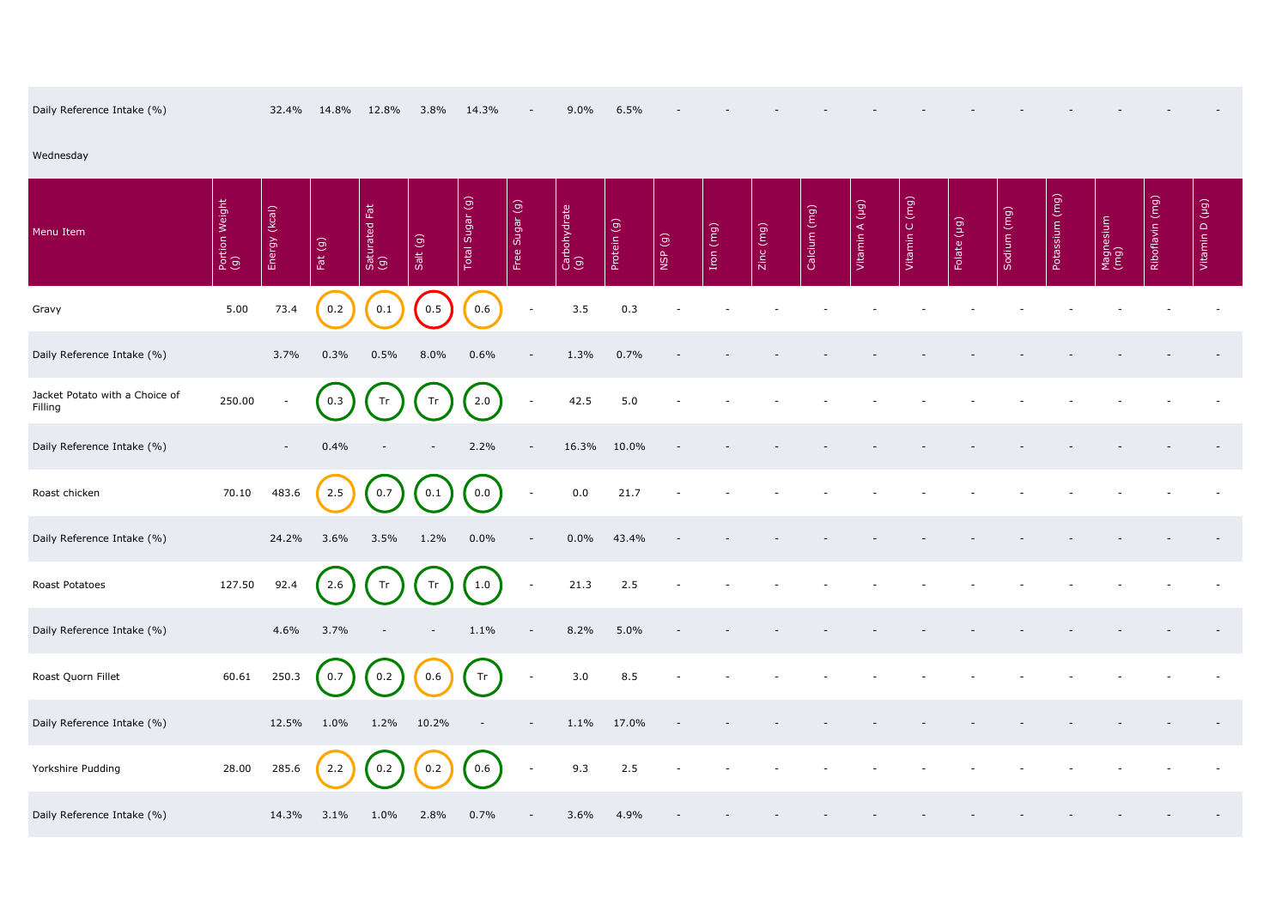|  | Daily Reference Intake (%) |  |  | 32.4% 14.8% 12.8% 3.8% 14.3% |  |  |  | $9.0\%$ 6.5% |  |  |  |  |  |  |  |  |
|--|----------------------------|--|--|------------------------------|--|--|--|--------------|--|--|--|--|--|--|--|--|
|--|----------------------------|--|--|------------------------------|--|--|--|--------------|--|--|--|--|--|--|--|--|

| Daily Reference Intake (%)                |                       | 32.4%         | 14.8%     | 12.8%                | 3.8%     | 14.3%           | $\overline{\phantom{a}}$ | 9.0%                | 6.5%        |         |           |           |              |                |                |             |             |                   |                   |                 |                |
|-------------------------------------------|-----------------------|---------------|-----------|----------------------|----------|-----------------|--------------------------|---------------------|-------------|---------|-----------|-----------|--------------|----------------|----------------|-------------|-------------|-------------------|-------------------|-----------------|----------------|
| Wednesday                                 |                       |               |           |                      |          |                 |                          |                     |             |         |           |           |              |                |                |             |             |                   |                   |                 |                |
| Menu Item                                 | Portion Weight<br>(g) | Energy (kcal) | Fat $(g)$ | Saturated Fat<br>(g) | Salt (g) | Total Sugar (g) | Free Sugar (g)           | Carbohydrate<br>(g) | Protein (g) | (6) dSM | Iron (mg) | Zinc (mg) | Calcium (mg) | Vitamin A (µg) | Vitamin C (mg) | Folate (µg) | Sodium (mg) | (mq)<br>Potassium | Magnesium<br>(mg) | Riboflavin (mg) | Vitamin D (µg) |
| Gravy                                     | 5.00                  | 73.4          | 0.2       | 0.1                  | 0.5      | 0.6             | $\overline{\phantom{a}}$ | 3.5                 | 0.3         |         |           |           |              |                |                |             |             |                   |                   |                 |                |
| Daily Reference Intake (%)                |                       | 3.7%          | 0.3%      | 0.5%                 | 8.0%     | 0.6%            | $\overline{\phantom{a}}$ | 1.3%                | 0.7%        |         |           |           |              |                |                |             |             |                   |                   |                 |                |
| Jacket Potato with a Choice of<br>Filling | 250.00                |               | 0.3       | Tr                   | Tr       | 2.0             | $\overline{\phantom{a}}$ | 42.5                | 5.0         |         |           |           |              |                |                |             |             |                   |                   |                 |                |
| Daily Reference Intake (%)                |                       | $\sim$        | 0.4%      |                      |          | 2.2%            | $\overline{\phantom{a}}$ | 16.3%               | 10.0%       |         |           |           |              |                |                |             |             |                   |                   |                 |                |
| Roast chicken                             | 70.10                 | 483.6         | 2.5       | 0.7                  | 0.1      | 0.0             | $\overline{\phantom{a}}$ | 0.0                 | 21.7        |         |           |           |              |                |                |             |             |                   |                   |                 |                |
| Daily Reference Intake (%)                |                       | 24.2%         | 3.6%      | 3.5%                 | 1.2%     | $0.0\%$         | $\overline{\phantom{a}}$ | $0.0\%$             | 43.4%       |         |           |           |              |                |                |             |             |                   |                   |                 |                |
| Roast Potatoes                            | 127.50                | 92.4          | 2.6       | Tr                   | Tr       | 1.0             |                          | 21.3                | 2.5         |         |           |           |              |                |                |             |             |                   |                   |                 |                |
| Daily Reference Intake (%)                |                       | 4.6%          | 3.7%      |                      | -        | 1.1%            | $\overline{\phantom{a}}$ | 8.2%                | 5.0%        |         |           |           |              |                |                |             |             |                   |                   |                 |                |
| Roast Quorn Fillet                        | 60.61                 | 250.3         | 0.7       | 0.2                  | 0.6      | Tr              | $\overline{\phantom{a}}$ | 3.0                 | 8.5         |         |           |           |              |                |                |             |             |                   |                   |                 |                |
| Daily Reference Intake (%)                |                       | 12.5%         | $1.0\%$   | $1.2\%$              | 10.2%    |                 | $\overline{\phantom{a}}$ | 1.1%                | 17.0%       |         |           |           |              |                |                |             |             |                   |                   |                 |                |
| Yorkshire Pudding                         | 28.00                 | 285.6         | 2.2       | 0.2                  | 0.2      | 0.6             | $\overline{\phantom{a}}$ | 9.3                 | 2.5         |         |           |           |              |                |                |             |             |                   |                   |                 |                |
| Daily Reference Intake (%)                |                       | 14.3%         | $3.1\%$   | $1.0\%$              | 2.8%     | 0.7%            | $\overline{\phantom{a}}$ | 3.6%                | 4.9%        |         |           |           |              |                |                |             |             |                   |                   |                 |                |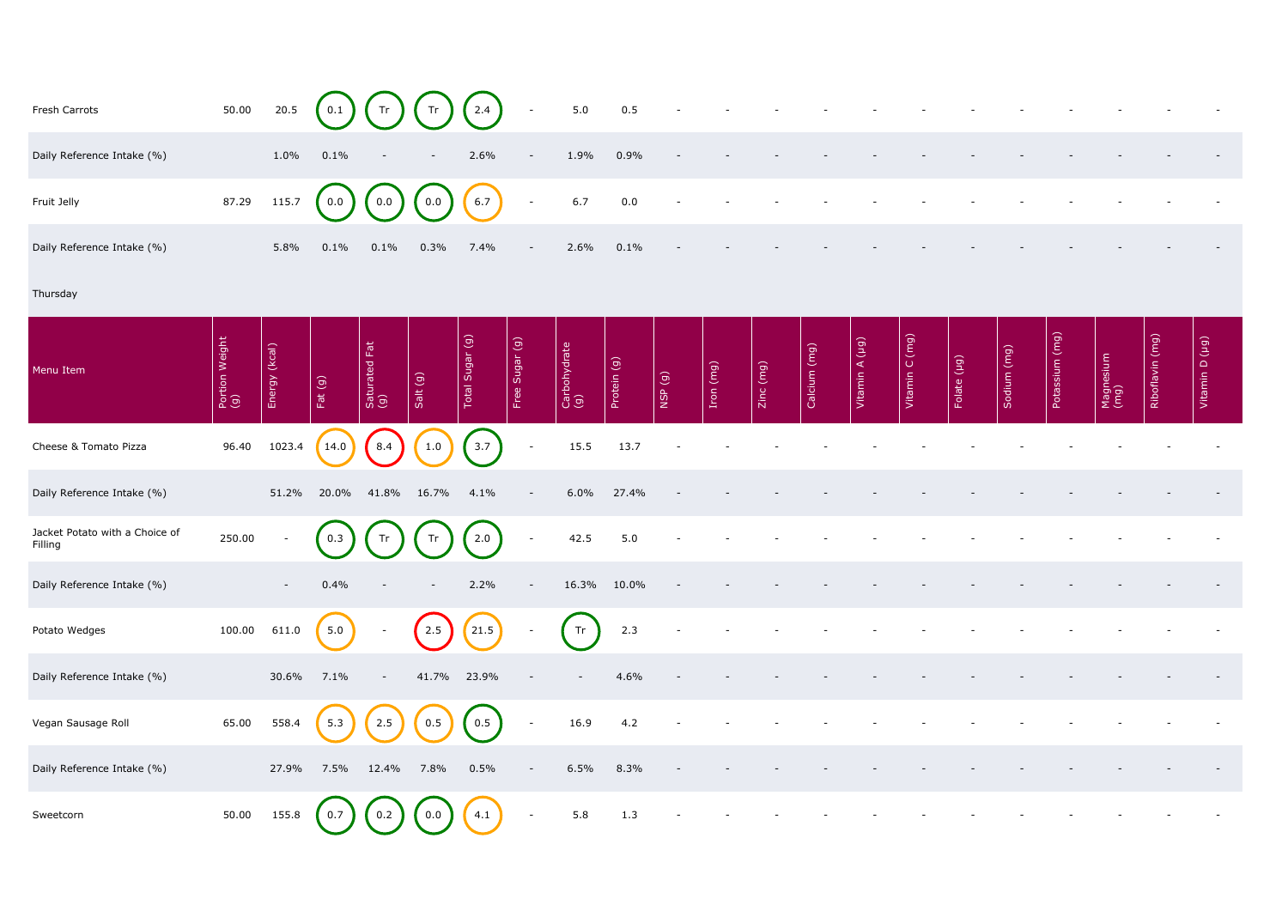| Fresh Carrots                             | 50.00                 | 20.5          | 0.1       | Tr                       | Tr       | 2.4                 |                | 5.0                 | 0.5         |        |           |           |              |                |                |             |             |                |                   |                 |                |
|-------------------------------------------|-----------------------|---------------|-----------|--------------------------|----------|---------------------|----------------|---------------------|-------------|--------|-----------|-----------|--------------|----------------|----------------|-------------|-------------|----------------|-------------------|-----------------|----------------|
| Daily Reference Intake (%)                |                       | 1.0%          | 0.1%      |                          |          | 2.6%                |                | 1.9%                | 0.9%        |        |           |           |              |                |                |             |             |                |                   |                 |                |
| Fruit Jelly                               | 87.29                 | 115.7         | 0.0       | 0.0                      | 0.0      | 6.7                 | $\overline{a}$ | 6.7                 | 0.0         |        |           |           |              |                |                |             |             |                |                   |                 |                |
| Daily Reference Intake (%)                |                       | 5.8%          | 0.1%      | 0.1%                     | 0.3%     | 7.4%                |                | 2.6%                | 0.1%        |        |           |           |              |                |                |             |             |                |                   |                 |                |
| Thursday                                  |                       |               |           |                          |          |                     |                |                     |             |        |           |           |              |                |                |             |             |                |                   |                 |                |
| Menu Item                                 | Portion Weight<br>(g) | Energy (kcal) | Fat $(g)$ | Saturated Fat<br>(g)     | Salt (g) | Total Sugar (g)     | Free Sugar (g) | Carbohydrate<br>(g) | Protein (g) | NSP(g) | Iron (mg) | Zinc (mg) | Calcium (mg) | Vitamin A (µg) | Vitamin C (mg) | Folate (µg) | Sodium (mg) | Potassium (mg) | Magnesium<br>(mg) | Riboflavin (mg) | Vitamin D (µg) |
| Cheese & Tomato Pizza                     | 96.40                 | 1023.4        | 14.0      | 8.4                      | 1.0      | 3.7                 | $\sim$         | 15.5                | 13.7        |        |           |           |              |                |                |             |             |                |                   |                 |                |
| Daily Reference Intake (%)                |                       | 51.2%         | 20.0%     | 41.8%                    | 16.7%    | 4.1%                |                | 6.0%                | 27.4%       |        |           |           |              |                |                |             |             |                |                   |                 |                |
| Jacket Potato with a Choice of<br>Filling | 250.00                |               | 0.3       | Tr                       | Tr       | 2.0                 | $\sim$         | 42.5                | 5.0         |        |           |           |              |                |                |             |             |                |                   |                 |                |
| Daily Reference Intake (%)                |                       | $\sim$        | 0.4%      |                          |          | 2.2%                |                | 16.3%               | 10.0%       |        |           |           |              |                |                |             |             |                |                   |                 |                |
| Potato Wedges                             | 100.00                | 611.0         | 5.0       |                          | 2.5      | $\left(21.5\right)$ |                | Tr                  | 2.3         |        |           |           |              |                |                |             |             |                |                   |                 |                |
| Daily Reference Intake (%)                |                       | 30.6%         | 7.1%      | $\overline{\phantom{a}}$ | 41.7%    | 23.9%               |                |                     | 4.6%        |        |           |           |              |                |                |             |             |                |                   |                 |                |
| Vegan Sausage Roll                        | 65.00                 | 558.4         | 5.3       | 2.5                      | 0.5      | 0.5                 | $\overline{a}$ | 16.9                | 4.2         |        |           |           |              |                |                |             |             |                |                   |                 |                |
| Daily Reference Intake (%)                |                       | 27.9%         | 7.5%      | 12.4%                    | 7.8%     | 0.5%                |                | 6.5%                | 8.3%        |        |           |           |              |                |                |             |             |                |                   |                 |                |
| Sweetcorn                                 | 50.00                 | 155.8         | 0.7       | 0.2                      | 0.0      | 4.1                 | $\overline{a}$ | 5.8                 | 1.3         |        |           |           |              |                |                |             |             |                |                   |                 |                |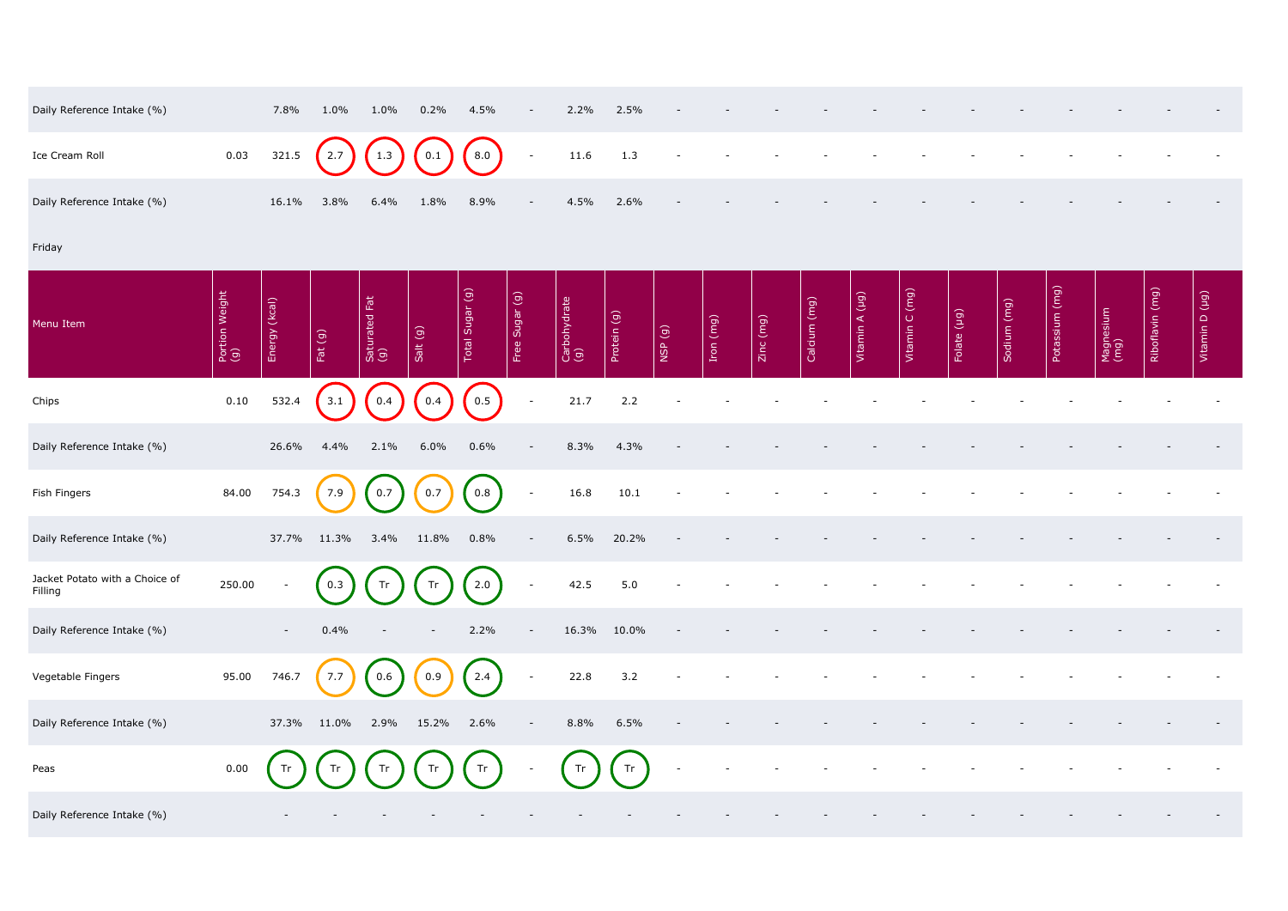| Daily Reference Intake (%) |      | 7.8%  | 1.0%    | 1.0%    | 0.2% | 4.5%                                        | $ \,$ | 2.2% | 2.5%    | $\sim$ | $\overline{\phantom{a}}$ | $-$    |                          |        |  |
|----------------------------|------|-------|---------|---------|------|---------------------------------------------|-------|------|---------|--------|--------------------------|--------|--------------------------|--------|--|
| Ice Cream Roll             | 0.03 |       |         |         |      | $321.5$ $2.7$ $1.3$ $0.1$ $8.0$ $1.6$ $1.3$ |       |      |         |        |                          | $\sim$ | $\sim$                   | $\sim$ |  |
| Daily Reference Intake (%) |      | 16.1% | $3.8\%$ | $6.4\%$ | 1.8% | 8.9%                                        | $ \,$ | 4.5% | $2.6\%$ | $\sim$ | $\sim$                   | $\sim$ | $\overline{\phantom{0}}$ |        |  |

## Friday

| Daily Reference Intake (%)                |                       | 7.8%          | 1.0%             | 1.0%                 | 0.2%     | 4.5%                                |                          | 2.2%                | 2.5%        |        |           |           |              |                |                |             |             |                                    |                   |                 |                |
|-------------------------------------------|-----------------------|---------------|------------------|----------------------|----------|-------------------------------------|--------------------------|---------------------|-------------|--------|-----------|-----------|--------------|----------------|----------------|-------------|-------------|------------------------------------|-------------------|-----------------|----------------|
| Ice Cream Roll                            | 0.03                  | 321.5         | 2.7              | 1.3                  | 0.1      | 8.0                                 | $\overline{\phantom{a}}$ | 11.6                | 1.3         |        |           |           |              |                |                |             |             |                                    |                   |                 |                |
| Daily Reference Intake (%)                |                       | 16.1%         | 3.8%             | 6.4%                 | 1.8%     | 8.9%                                |                          | 4.5%                | 2.6%        |        |           |           |              |                |                |             |             |                                    |                   |                 |                |
| Friday                                    |                       |               |                  |                      |          |                                     |                          |                     |             |        |           |           |              |                |                |             |             |                                    |                   |                 |                |
| Menu Item                                 | Portion Weight<br>(g) | Energy (kcal) | Fat $(g)$        | Saturated Fat<br>(g) | Salt (g) | Total Sugar (g)                     | Free Sugar (g)           | Carbohydrate<br>(g) | Protein (g) | NSP(g) | Iron (mg) | Zinc (mg) | Calcium (mg) | Vitamin A (µg) | Vitamin C (mg) | Folate (µg) | Sodium (mg) | $\boxed{\text{(mg)}}$<br>Potassium | Magnesium<br>(mg) | Riboflavin (mg) | Vitamin D (µg) |
| Chips                                     | 0.10                  | 532.4         | 3.1              | 0.4                  | 0.4      | $\begin{bmatrix} 0.5 \end{bmatrix}$ | $\blacksquare$           | 21.7                | 2.2         |        |           |           |              |                |                |             |             |                                    |                   |                 |                |
| Daily Reference Intake (%)                |                       | 26.6%         | 4.4%             | 2.1%                 | 6.0%     | 0.6%                                |                          | 8.3%                | 4.3%        |        |           |           |              |                |                |             |             |                                    |                   |                 |                |
| Fish Fingers                              | 84.00                 | 754.3         | 7.9              | 0.7                  | 0.7      | 0.8                                 | $\overline{\phantom{a}}$ | 16.8                | 10.1        |        |           |           |              |                |                |             |             |                                    |                   |                 |                |
| Daily Reference Intake (%)                |                       | 37.7%         | 11.3%            | 3.4%                 | 11.8%    | 0.8%                                |                          | 6.5%                | 20.2%       |        |           |           |              |                |                |             |             |                                    |                   |                 |                |
| Jacket Potato with a Choice of<br>Filling | 250.00                |               | $\bigcap$<br>0.3 | $\bigcap$<br>Tr      | Tr       | $\sqrt{ }$<br>2.0                   |                          | 42.5                | 5.0         |        |           |           |              |                |                |             |             |                                    |                   |                 |                |
| Daily Reference Intake (%)                |                       | $\sim$        | 0.4%             |                      |          | 2.2%                                | $\overline{\phantom{a}}$ | 16.3%               | 10.0%       |        |           |           |              |                |                |             |             |                                    |                   |                 |                |
| Vegetable Fingers                         | 95.00                 | 746.7         | 7.7              | 0.6                  | 0.9      | 2.4                                 | $\overline{\phantom{a}}$ | 22.8                | 3.2         |        |           |           |              |                |                |             |             |                                    |                   |                 |                |
| Daily Reference Intake (%)                |                       | 37.3%         | 11.0%            | 2.9%                 | 15.2%    | 2.6%                                | $\overline{\phantom{a}}$ | 8.8%                | 6.5%        |        |           |           |              |                |                |             |             |                                    |                   |                 |                |
| Peas                                      | 0.00                  |               | Tr               | Tr                   | Tr       | Tr                                  |                          | Tr                  | Tr          |        |           |           |              |                |                |             |             |                                    |                   |                 |                |
| Daily Reference Intake (%)                |                       |               |                  |                      |          |                                     |                          |                     |             |        |           |           |              |                |                |             |             |                                    |                   |                 |                |